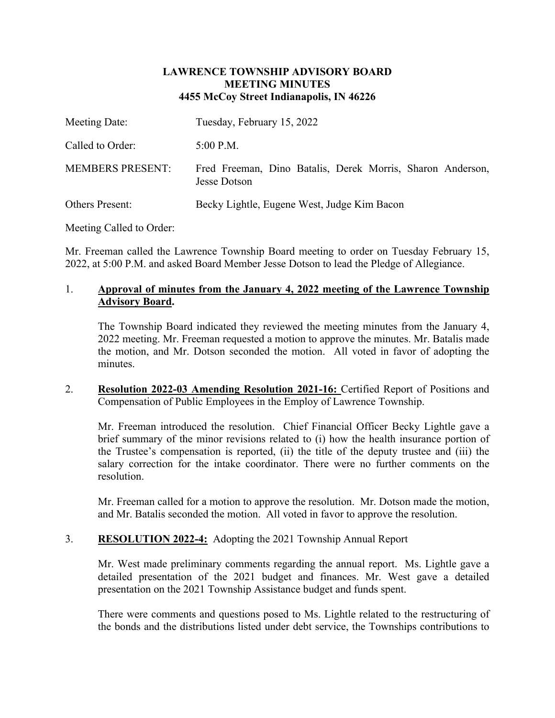## **LAWRENCE TOWNSHIP ADVISORY BOARD MEETING MINUTES 4455 McCoy Street Indianapolis, IN 46226**

| Meeting Date:           | Tuesday, February 15, 2022                                                 |
|-------------------------|----------------------------------------------------------------------------|
| Called to Order:        | $5:00$ P.M.                                                                |
| <b>MEMBERS PRESENT:</b> | Fred Freeman, Dino Batalis, Derek Morris, Sharon Anderson,<br>Jesse Dotson |
| <b>Others Present:</b>  | Becky Lightle, Eugene West, Judge Kim Bacon                                |

Meeting Called to Order:

Mr. Freeman called the Lawrence Township Board meeting to order on Tuesday February 15, 2022, at 5:00 P.M. and asked Board Member Jesse Dotson to lead the Pledge of Allegiance.

# 1. **Approval of minutes from the January 4, 2022 meeting of the Lawrence Township Advisory Board.**

The Township Board indicated they reviewed the meeting minutes from the January 4, 2022 meeting. Mr. Freeman requested a motion to approve the minutes. Mr. Batalis made the motion, and Mr. Dotson seconded the motion. All voted in favor of adopting the minutes.

2. **Resolution 2022-03 Amending Resolution 2021-16:** Certified Report of Positions and Compensation of Public Employees in the Employ of Lawrence Township.

Mr. Freeman introduced the resolution. Chief Financial Officer Becky Lightle gave a brief summary of the minor revisions related to (i) how the health insurance portion of the Trustee's compensation is reported, (ii) the title of the deputy trustee and (iii) the salary correction for the intake coordinator. There were no further comments on the resolution.

Mr. Freeman called for a motion to approve the resolution. Mr. Dotson made the motion, and Mr. Batalis seconded the motion. All voted in favor to approve the resolution.

## 3. **RESOLUTION 2022-4:** Adopting the 2021 Township Annual Report

Mr. West made preliminary comments regarding the annual report. Ms. Lightle gave a detailed presentation of the 2021 budget and finances. Mr. West gave a detailed presentation on the 2021 Township Assistance budget and funds spent.

There were comments and questions posed to Ms. Lightle related to the restructuring of the bonds and the distributions listed under debt service, the Townships contributions to